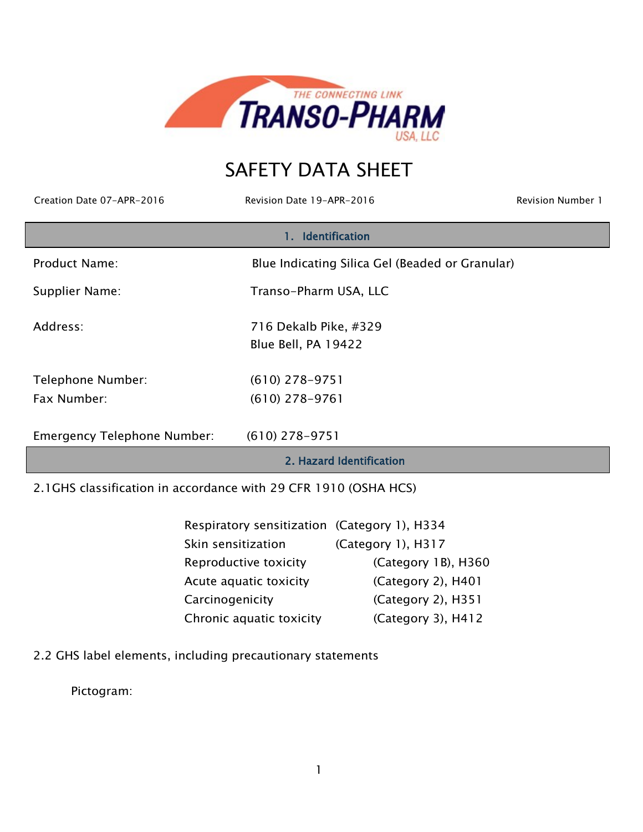

# SAFETY DATA SHEET

Creation Date 07-APR-2016 Revision Date 19-APR-2016 Revision Number 1

|                                    | 1. Identification                               |
|------------------------------------|-------------------------------------------------|
| <b>Product Name:</b>               | Blue Indicating Silica Gel (Beaded or Granular) |
| Supplier Name:                     | Transo-Pharm USA, LLC                           |
| Address:                           | 716 Dekalb Pike, #329                           |
|                                    | Blue Bell, PA 19422                             |
| Telephone Number:                  | $(610)$ 278-9751                                |
| Fax Number:                        | $(610)$ 278-9761                                |
| <b>Emergency Telephone Number:</b> | $(610)$ 278-9751                                |
|                                    | 2. Hazard Identification                        |

2.1GHS classification in accordance with 29 CFR 1910 (OSHA HCS)

| Respiratory sensitization (Category 1), H334 |                        |
|----------------------------------------------|------------------------|
| Skin sensitization                           | (Category 1), H317     |
| Reproductive toxicity                        | (Category 1B), H360    |
| Acute aquatic toxicity                       | (Category 2), H401     |
| Carcinogenicity                              | $(Categorical)$ , H351 |
| Chronic aquatic toxicity                     | (Category 3), H412     |

2.2 GHS label elements, including precautionary statements

Pictogram: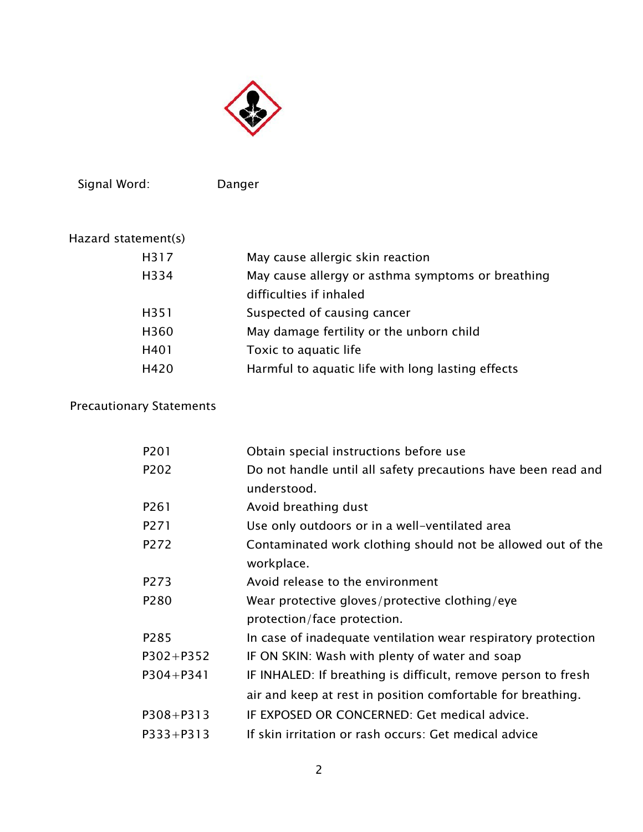

Signal Word: Danger

| Hazard statement(s) |                                                   |
|---------------------|---------------------------------------------------|
| H317                | May cause allergic skin reaction                  |
| H334                | May cause allergy or asthma symptoms or breathing |
|                     | difficulties if inhaled                           |
| H351                | Suspected of causing cancer                       |
| H360                | May damage fertility or the unborn child          |
| H401                | Toxic to aquatic life                             |
| H420                | Harmful to aquatic life with long lasting effects |

## Precautionary Statements

| P201                          | Obtain special instructions before use                        |
|-------------------------------|---------------------------------------------------------------|
| P <sub>2</sub> 0 <sub>2</sub> | Do not handle until all safety precautions have been read and |
|                               | understood.                                                   |
| P261                          | Avoid breathing dust                                          |
| P271                          | Use only outdoors or in a well-ventilated area                |
| P <sub>2</sub> 72             | Contaminated work clothing should not be allowed out of the   |
|                               | workplace.                                                    |
| P273                          | Avoid release to the environment                              |
| P <sub>280</sub>              | Wear protective gloves/protective clothing/eye                |
|                               | protection/face protection.                                   |
| P <sub>2</sub> 85             | In case of inadequate ventilation wear respiratory protection |
| $P302 + P352$                 | IF ON SKIN: Wash with plenty of water and soap                |
| $P304 + P341$                 | IF INHALED: If breathing is difficult, remove person to fresh |
|                               | air and keep at rest in position comfortable for breathing.   |
| $P308 + P313$                 | IF EXPOSED OR CONCERNED: Get medical advice.                  |
| $P333 + P313$                 | If skin irritation or rash occurs: Get medical advice         |
|                               |                                                               |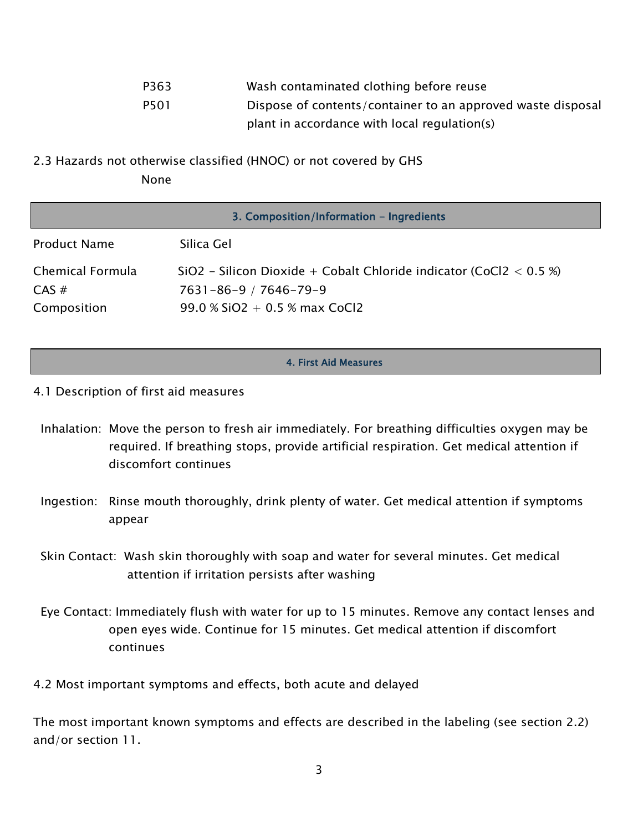| P363 | Wash contaminated clothing before reuse                     |
|------|-------------------------------------------------------------|
| P501 | Dispose of contents/container to an approved waste disposal |
|      | plant in accordance with local regulation(s)                |

2.3 Hazards not otherwise classified (HNOC) or not covered by GHS None

|                                             | 3. Composition/Information - Ingredients                                                                                      |
|---------------------------------------------|-------------------------------------------------------------------------------------------------------------------------------|
| <b>Product Name</b>                         | Silica Gel                                                                                                                    |
| Chemical Formula<br>$CAS \#$<br>Composition | $SiO2 - Silicon Dioxide + Cobalt Chloride indicator (CoCl2 < 0.5%)$<br>7631-86-9 / 7646-79-9<br>99.0 % SiO2 + 0.5 % max CoCl2 |

#### 4. First Aid Measures

- 4.1 Description of first aid measures
	- Inhalation: Move the person to fresh air immediately. For breathing difficulties oxygen may be required. If breathing stops, provide artificial respiration. Get medical attention if discomfort continues
	- Ingestion: Rinse mouth thoroughly, drink plenty of water. Get medical attention if symptoms appear
	- Skin Contact: Wash skin thoroughly with soap and water for several minutes. Get medical attention if irritation persists after washing
	- Eye Contact: Immediately flush with water for up to 15 minutes. Remove any contact lenses and open eyes wide. Continue for 15 minutes. Get medical attention if discomfort continues

4.2 Most important symptoms and effects, both acute and delayed

The most important known symptoms and effects are described in the labeling (see section 2.2) and/or section 11.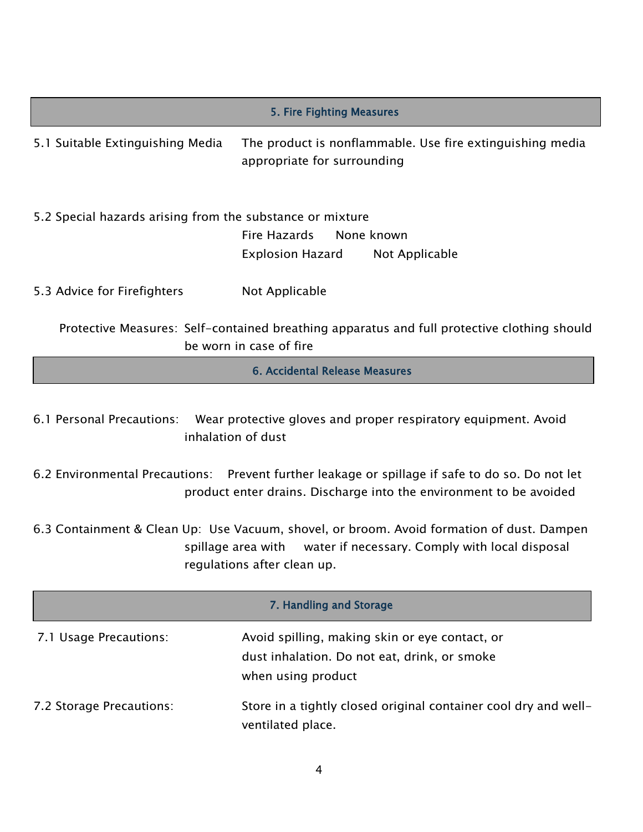| 5. Fire Fighting Measures                                                                                                                                                                     |                                                                                                                        |  |
|-----------------------------------------------------------------------------------------------------------------------------------------------------------------------------------------------|------------------------------------------------------------------------------------------------------------------------|--|
| 5.1 Suitable Extinguishing Media                                                                                                                                                              | The product is nonflammable. Use fire extinguishing media<br>appropriate for surrounding                               |  |
| 5.2 Special hazards arising from the substance or mixture                                                                                                                                     | Fire Hazards<br>None known<br>Explosion Hazard<br>Not Applicable                                                       |  |
| 5.3 Advice for Firefighters                                                                                                                                                                   | Not Applicable                                                                                                         |  |
|                                                                                                                                                                                               | Protective Measures: Self-contained breathing apparatus and full protective clothing should<br>be worn in case of fire |  |
|                                                                                                                                                                                               | 6. Accidental Release Measures                                                                                         |  |
| Wear protective gloves and proper respiratory equipment. Avoid<br>6.1 Personal Precautions:<br>inhalation of dust                                                                             |                                                                                                                        |  |
| 6.2 Environmental Precautions: Prevent further leakage or spillage if safe to do so. Do not let<br>product enter drains. Discharge into the environment to be avoided                         |                                                                                                                        |  |
| 6.3 Containment & Clean Up: Use Vacuum, shovel, or broom. Avoid formation of dust. Dampen<br>spillage area with water if necessary. Comply with local disposal<br>regulations after clean up. |                                                                                                                        |  |
| 7. Handling and Storage                                                                                                                                                                       |                                                                                                                        |  |
| 7.1 Usage Precautions:                                                                                                                                                                        | Avoid spilling, making skin or eye contact, or<br>dust inhalation. Do not eat, drink, or smoke<br>when using product   |  |
| 7.2 Storage Precautions:                                                                                                                                                                      | Store in a tightly closed original container cool dry and well-<br>ventilated place.                                   |  |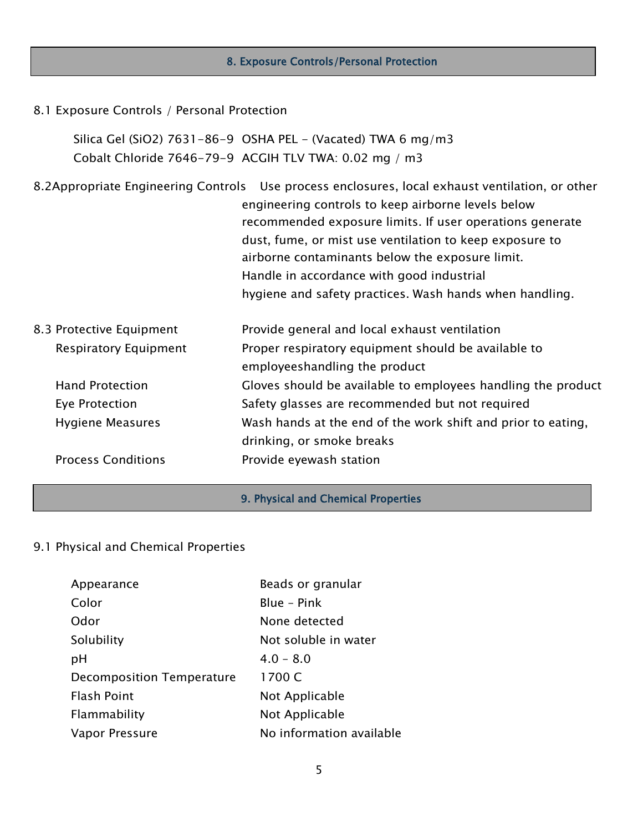### 8. Exposure Controls/Personal Protection I

#### 8.1 Exposure Controls / Personal Protection

Silica Gel (SiO2) 7631-86-9 OSHA PEL - (Vacated) TWA 6 mg/m3 Cobalt Chloride 7646-79-9 ACGIH TLV TWA: 0.02 mg / m3

8.2Appropriate Engineering Controls Use process enclosures, local exhaust ventilation, or other engineering controls to keep airborne levels below recommended exposure limits. If user operations generate dust, fume, or mist use ventilation to keep exposure to airborne contaminants below the exposure limit. Handle in accordance with good industrial hygiene and safety practices. Wash hands when handling. 8.3 Protective Equipment Provide general and local exhaust ventilation Respiratory Equipment Proper respiratory equipment should be available to employeeshandling the product Hand Protection Gloves should be available to employees handling the product Eye Protection **Safety glasses are recommended but not required**  Hygiene Measures Wash hands at the end of the work shift and prior to eating, drinking, or smoke breaks Process Conditions **Provide eyewash station** 

#### 9. Physical and Chemical Properties

#### 9.1 Physical and Chemical Properties

| Appearance                | Beads or granular        |
|---------------------------|--------------------------|
| Color                     | Blue - Pink              |
| Odor                      | None detected            |
| Solubility                | Not soluble in water     |
| рH                        | $4.0 - 8.0$              |
| Decomposition Temperature | 1700 C                   |
| <b>Flash Point</b>        | Not Applicable           |
| Flammability              | Not Applicable           |
| Vapor Pressure            | No information available |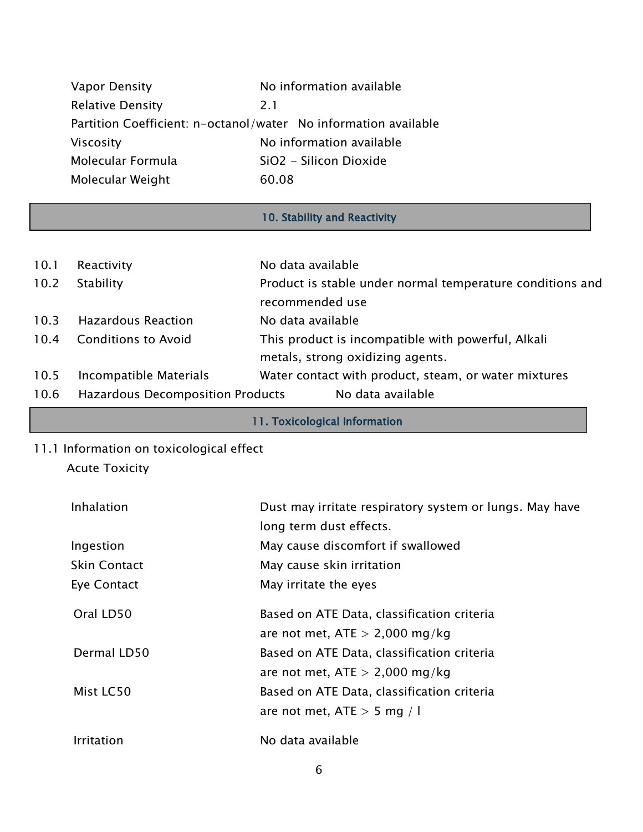| Vapor Density           | No information available                                        |
|-------------------------|-----------------------------------------------------------------|
| <b>Relative Density</b> | 2.1                                                             |
|                         | Partition Coefficient: n-octanol/water No information available |
| <b>Viscosity</b>        | No information available                                        |
| Molecular Formula       | SiO2 - Silicon Dioxide                                          |
| Molecular Weight        | 60.08                                                           |

## 10. Stability and Reactivity

| 10.1 | Reactivity                              | No data available                                         |
|------|-----------------------------------------|-----------------------------------------------------------|
| 10.2 | Stability                               | Product is stable under normal temperature conditions and |
|      |                                         | recommended use                                           |
| 10.3 | <b>Hazardous Reaction</b>               | No data available                                         |
| 10.4 | <b>Conditions to Avoid</b>              | This product is incompatible with powerful, Alkali        |
|      |                                         | metals, strong oxidizing agents.                          |
| 10.5 | Incompatible Materials                  | Water contact with product, steam, or water mixtures      |
| 10.6 | <b>Hazardous Decomposition Products</b> | No data available                                         |

- 11. Toxicological Information
- 11.1 Information on toxicological effect

### Acute Toxicity

| Inhalation          | Dust may irritate respiratory system or lungs. May have |
|---------------------|---------------------------------------------------------|
|                     | long term dust effects.                                 |
| Ingestion           | May cause discomfort if swallowed                       |
| <b>Skin Contact</b> | May cause skin irritation                               |
| Eye Contact         | May irritate the eyes                                   |
| Oral LD50           | Based on ATE Data, classification criteria              |
|                     | are not met, $ATE > 2,000$ mg/kg                        |
| Dermal LD50         | Based on ATE Data, classification criteria              |
|                     | are not met, $ATE > 2,000$ mg/kg                        |
| Mist LC50           | Based on ATE Data, classification criteria              |
|                     | are not met, ATE $>$ 5 mg / l                           |
| Irritation          | No data available                                       |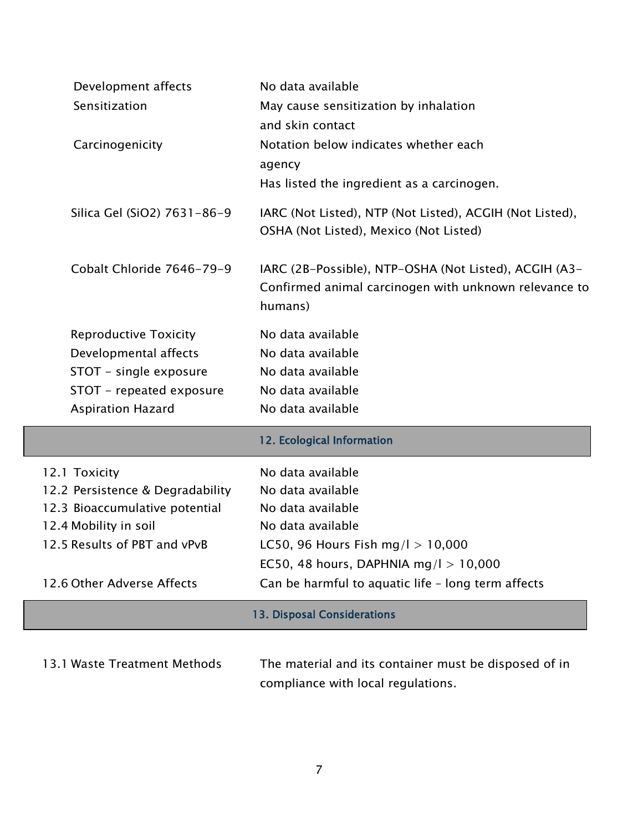| Development affects              | No data available                                                                                  |
|----------------------------------|----------------------------------------------------------------------------------------------------|
| Sensitization                    | May cause sensitization by inhalation                                                              |
|                                  | and skin contact                                                                                   |
| Carcinogenicity                  | Notation below indicates whether each                                                              |
|                                  | agency                                                                                             |
|                                  | Has listed the ingredient as a carcinogen.                                                         |
| Silica Gel (SiO2) 7631-86-9      | IARC (Not Listed), NTP (Not Listed), ACGIH (Not Listed),<br>OSHA (Not Listed), Mexico (Not Listed) |
| Cobalt Chloride 7646-79-9        | IARC (2B-Possible), NTP-OSHA (Not Listed), ACGIH (A3-                                              |
|                                  | Confirmed animal carcinogen with unknown relevance to                                              |
|                                  | humans)                                                                                            |
| <b>Reproductive Toxicity</b>     | No data available                                                                                  |
| Developmental affects            | No data available                                                                                  |
| STOT - single exposure           | No data available                                                                                  |
| STOT - repeated exposure         | No data available                                                                                  |
| <b>Aspiration Hazard</b>         | No data available                                                                                  |
|                                  | 12. Ecological Information                                                                         |
| 12.1 Toxicity                    | No data available                                                                                  |
| 12.2 Persistence & Degradability | No data available                                                                                  |
|                                  |                                                                                                    |
| 12.3 Bioaccumulative potential   | No data available                                                                                  |
| 12.4 Mobility in soil            | No data available                                                                                  |
| 12.5 Results of PBT and vPvB     | LC50, 96 Hours Fish mg/l $> 10,000$                                                                |
|                                  | EC50, 48 hours, DAPHNIA mg/l $> 10,000$                                                            |
| 12.6 Other Adverse Affects       | Can be harmful to aquatic life - long term affects                                                 |
|                                  | <b>13. Disposal Considerations</b>                                                                 |

Ĩ.

compliance with local regulations.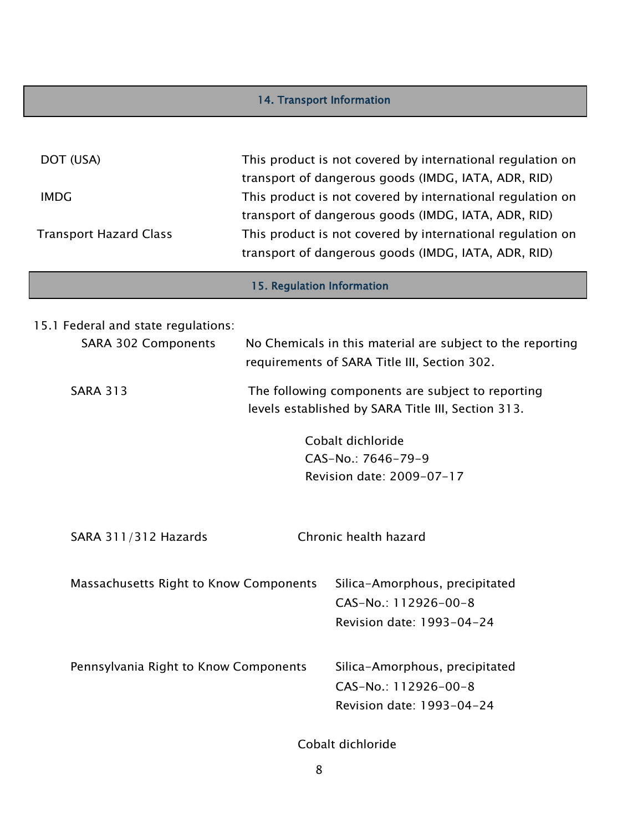### 14. Transport Information I

| DOT (USA)<br><b>IMDG</b><br><b>Transport Hazard Class</b>            |                                                                                                         | This product is not covered by international regulation on<br>transport of dangerous goods (IMDG, IATA, ADR, RID)<br>This product is not covered by international regulation on<br>transport of dangerous goods (IMDG, IATA, ADR, RID)<br>This product is not covered by international regulation on<br>transport of dangerous goods (IMDG, IATA, ADR, RID) |  |  |
|----------------------------------------------------------------------|---------------------------------------------------------------------------------------------------------|-------------------------------------------------------------------------------------------------------------------------------------------------------------------------------------------------------------------------------------------------------------------------------------------------------------------------------------------------------------|--|--|
| 15. Regulation Information                                           |                                                                                                         |                                                                                                                                                                                                                                                                                                                                                             |  |  |
| 15.1 Federal and state regulations:<br><b>SARA 302 Components</b>    |                                                                                                         | No Chemicals in this material are subject to the reporting<br>requirements of SARA Title III, Section 302.                                                                                                                                                                                                                                                  |  |  |
| <b>SARA 313</b>                                                      | The following components are subject to reporting<br>levels established by SARA Title III, Section 313. |                                                                                                                                                                                                                                                                                                                                                             |  |  |
| Cobalt dichloride<br>CAS-No.: 7646-79-9<br>Revision date: 2009-07-17 |                                                                                                         |                                                                                                                                                                                                                                                                                                                                                             |  |  |
| SARA 311/312 Hazards                                                 |                                                                                                         | Chronic health hazard                                                                                                                                                                                                                                                                                                                                       |  |  |
| Massachusetts Right to Know Components                               |                                                                                                         | Silica-Amorphous, precipitated<br>CAS-No.: 112926-00-8<br>Revision date: 1993-04-24                                                                                                                                                                                                                                                                         |  |  |
| Pennsylvania Right to Know Components                                |                                                                                                         | Silica-Amorphous, precipitated<br>CAS-No.: 112926-00-8<br>Revision date: 1993-04-24                                                                                                                                                                                                                                                                         |  |  |

Cobalt dichloride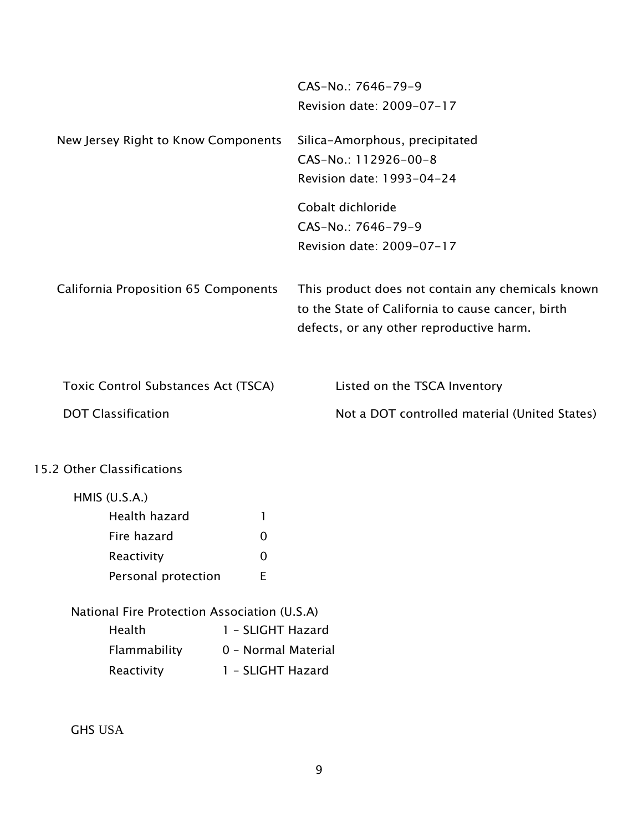|                                              | CAS-No.: 7646-79-9<br>Revision date: 2009-07-17                                                                                                    |
|----------------------------------------------|----------------------------------------------------------------------------------------------------------------------------------------------------|
| New Jersey Right to Know Components          | Silica-Amorphous, precipitated                                                                                                                     |
|                                              | CAS-No.: 112926-00-8                                                                                                                               |
|                                              | Revision date: 1993-04-24                                                                                                                          |
|                                              | Cobalt dichloride                                                                                                                                  |
|                                              | CAS-No.: 7646-79-9                                                                                                                                 |
|                                              | Revision date: 2009-07-17                                                                                                                          |
| <b>California Proposition 65 Components</b>  | This product does not contain any chemicals known<br>to the State of California to cause cancer, birth<br>defects, or any other reproductive harm. |
| Toxic Control Substances Act (TSCA)          | Listed on the TSCA Inventory                                                                                                                       |
| <b>DOT Classification</b>                    | Not a DOT controlled material (United States)                                                                                                      |
| 15.2 Other Classifications                   |                                                                                                                                                    |
| HMIS $(U.S.A.)$                              |                                                                                                                                                    |
| Health hazard                                | T                                                                                                                                                  |
| Fire hazard                                  | 0                                                                                                                                                  |
| Reactivity                                   | $\mathbf 0$                                                                                                                                        |
| Personal protection                          | E                                                                                                                                                  |
| National Fire Protection Association (U.S.A) |                                                                                                                                                    |
| Health                                       | 1 - SLIGHT Hazard                                                                                                                                  |
| Flammability                                 | 0 - Normal Material                                                                                                                                |
| Reactivity                                   | 1 - SLIGHT Hazard                                                                                                                                  |

GHS USA